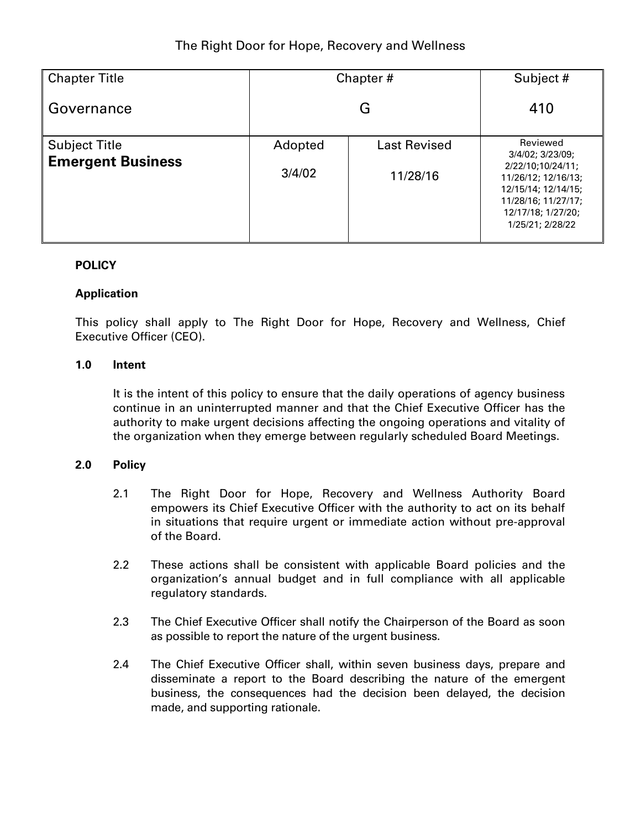| <b>Chapter Title</b>     | Chapter# |                     | Subject #                                                                                                                        |  |
|--------------------------|----------|---------------------|----------------------------------------------------------------------------------------------------------------------------------|--|
| Governance               | G        |                     | 410                                                                                                                              |  |
| <b>Subject Title</b>     | Adopted  | <b>Last Revised</b> | Reviewed<br>3/4/02; 3/23/09;                                                                                                     |  |
| <b>Emergent Business</b> | 3/4/02   | 11/28/16            | 2/22/10:10/24/11;<br>11/26/12; 12/16/13;<br>12/15/14; 12/14/15;<br>11/28/16; 11/27/17;<br>12/17/18; 1/27/20;<br>1/25/21; 2/28/22 |  |

## **POLICY**

## **Application**

This policy shall apply to The Right Door for Hope, Recovery and Wellness, Chief Executive Officer (CEO).

## **1.0 Intent**

It is the intent of this policy to ensure that the daily operations of agency business continue in an uninterrupted manner and that the Chief Executive Officer has the authority to make urgent decisions affecting the ongoing operations and vitality of the organization when they emerge between regularly scheduled Board Meetings.

## **2.0 Policy**

- 2.1 The Right Door for Hope, Recovery and Wellness Authority Board empowers its Chief Executive Officer with the authority to act on its behalf in situations that require urgent or immediate action without pre-approval of the Board.
- 2.2 These actions shall be consistent with applicable Board policies and the organization's annual budget and in full compliance with all applicable regulatory standards.
- 2.3 The Chief Executive Officer shall notify the Chairperson of the Board as soon as possible to report the nature of the urgent business.
- 2.4 The Chief Executive Officer shall, within seven business days, prepare and disseminate a report to the Board describing the nature of the emergent business, the consequences had the decision been delayed, the decision made, and supporting rationale.